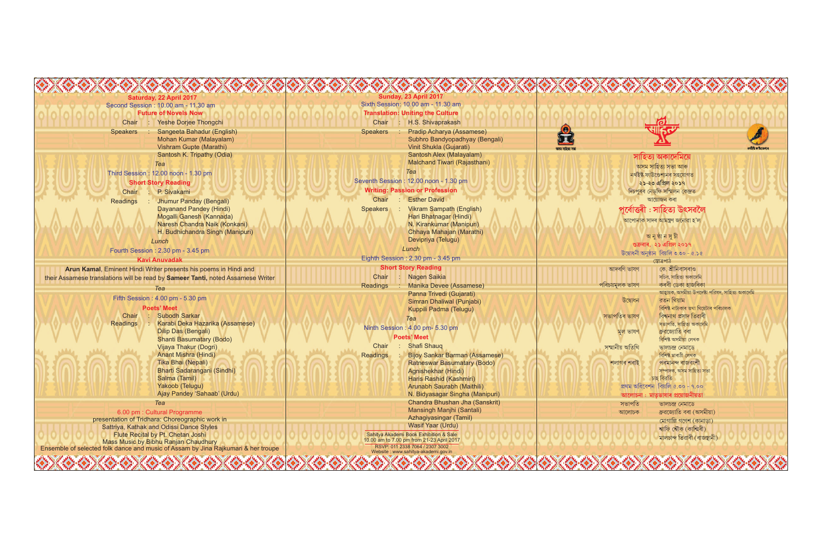| Saturday, 22 April 2017                                                         | Sunday, 23 April 2017<br>Sixth Session: 10.00 am - 11.30 am                         |                 |                                                   |
|---------------------------------------------------------------------------------|-------------------------------------------------------------------------------------|-----------------|---------------------------------------------------|
| Second Session: 10.00 am - 11.30 am<br><b>Future of Novels Now</b>              | <b>Translation: Uniting the Culture</b>                                             |                 |                                                   |
|                                                                                 |                                                                                     |                 |                                                   |
| Yeshe Dorjee Thongchi<br>Chair                                                  | Chair<br>H.S. Shivaprakash                                                          |                 |                                                   |
| Sangeeta Bahadur (English)<br><b>Speakers</b>                                   | <b>Pradip Acharya (Assamese)</b><br><b>Speakers</b>                                 | $\bigoplus$     |                                                   |
| Mohan Kumar (Malayalam)                                                         | Subhro Bandyopadhyay (Bengali)                                                      |                 |                                                   |
| Vishram Gupte (Marathi)                                                         | Vinit Shukla (Gujarati)                                                             | অসম সাহিত্য সভা |                                                   |
| Santosh K. Tripathy (Odia)                                                      | Santosh Alex (Malayalam)                                                            |                 | সাহিত্য অকার্দেমিয়ে                              |
| Tea                                                                             | Malchand Tiwari (Rajasthani)                                                        |                 | অসম সাহিত্য সভা আৰু                               |
| Third Session: 12.00 noon - 1.30 pm                                             | Tea                                                                                 |                 | নৰ্থইষ্ট ফাউণ্ডেশ্যনৰ সহযোগত                      |
| <b>Short Story Reading</b>                                                      | Seventh Session: 12.00 noon - 1.30 pm                                               |                 | ২১-২৩ এপ্রিল ২০১৭                                 |
| P. Sivakami<br>Chair                                                            | <b>Writing: Passion or Profession</b>                                               |                 | দিচপুৰৰ নেড্ফি সম্মিলন কেন্দ্ৰত                   |
| Jhumur Panday (Bengali)<br>Readings                                             | <b>Esther David</b><br>Chair                                                        |                 | আয়োজন কৰা                                        |
| Dayanand Pandey (Hindi)                                                         | <b>Vikram Sampath (English)</b><br><b>Speakers</b>                                  |                 | পূৰ্বোত্তৰী : সাহিত্য উৎসৱলৈ                      |
| Mogalli Ganesh (Kannada)                                                        | Hari Bhatnagar (Hindi)                                                              |                 |                                                   |
| Naresh Chandra Naik (Konkani)                                                   | N. Kirankumar (Manipuri)                                                            |                 | আপোনাক সাদৰ আমন্ত্ৰণ জনোৱা হ'ল                    |
| H. Budhichandra Singh (Manipuri)                                                | Chhaya Mahajan (Marathi)                                                            |                 |                                                   |
| Lunch                                                                           | Devipriya (Telugu)                                                                  |                 | অনুষ্ঠানসূচী                                      |
|                                                                                 | Lunch                                                                               |                 | শুক্ৰবাৰ, ২১ এপ্ৰিল ২০১৭                          |
| Fourth Session: 2.30 pm - 3.45 pm                                               |                                                                                     |                 | উদ্বোধনী অনুষ্ঠান বিয়লি ৩.৩০ - ৫.১৫              |
| <b>Kavi Anuvadak</b>                                                            | Eighth Session: 2.30 pm - 3.45 pm                                                   |                 | স্তোত্রপাঠ                                        |
| Arun Kamal, Eminent Hindi Writer presents his poems in Hindi and                | <b>Short Story Reading</b>                                                          | আদৰণি ভাষণ      | কে. শ্ৰীনিবাসৰাও                                  |
| their Assamese translations will be read by Sameer Tanti, noted Assamese Writer | <b>Nagen Saikia</b><br><b>Chair</b>                                                 |                 | সচিব, সাহিত্য অকাদেমি                             |
| Теа                                                                             | Manika Devee (Assamese)<br>Readings                                                 | পৰিচয়মূলক ভাষণ | কৰবী ডেকা হাজৰিকা                                 |
| Fifth Session: 4.00 pm - 5.30 pm                                                | Panna Trivedi (Gujarati)                                                            |                 | আহ্বায়ক, অসমীয়া উপদেষ্টা পরিষদ, সাহিত্য অকাদেমি |
|                                                                                 | Simran Dhaliwal (Punjabi)                                                           | উদ্বোধন         | রতন থিয়াম                                        |
| <b>Poets' Meet</b>                                                              | Kuppili Padma (Telugu)                                                              |                 | বিশিষ্ট নাট্যকাৰ তথা থিয়েটাৰ পৰিচালক             |
| <b>Subodh Sarkar</b><br>Chair                                                   | Tea                                                                                 | সভাপতিৰ ভাষণ    | বিশ্বনাথ প্ৰসাদ তিৱাৰী                            |
| Karabi Deka Hazarika (Assamese)<br>Readings                                     | Ninth Session : 4.00 pm- 5.30 pm                                                    |                 | সভাপতি, সাহিত্য অকাদেমি                           |
| <b>Dilip Das (Bengali)</b>                                                      | <b>Poets' Meet</b>                                                                  | মল ভাষণ         | ধ্ৰুৱজ্যোতি বৰা                                   |
| <b>Shanti Basumatary (Bodo)</b>                                                 | <b>Shafi Shauq</b><br>Chair                                                         |                 | বিশিষ্ট অসমীয়া লেখক                              |
| Vijaya Thakur (Dogri)                                                           |                                                                                     | সম্মানীয় অতিথি | ভালচন্দ্ৰ নেমাডে                                  |
| <b>Anant Mishra (Hindi)</b>                                                     | <b>Bijoy Sankar Barman (Assamese)</b><br>Readings                                   |                 | বিশিষ্ট মাৰাঠী লেখক                               |
| Tika Bhai (Nepali)                                                              | <b>Ratneswar Basumatary (Bodo)</b>                                                  | শলাগৰ শৰাই      | পৰমানন্দ ৰাজবংশী                                  |
| Bharti Sadarangani (Sindhi)                                                     | Agnishekhar (Hindi)                                                                 |                 | সম্পাদক, অসম সাহিত্য সভা<br>চাহ বিরতি             |
| Salma (Tamil)<br>Yakoob (Telugu)                                                | Haris Rashid (Kashmiri)                                                             |                 | প্ৰথম অধিবেশন বিয়লি ৫.৩০ - ৭.০০                  |
| Ajay Pandey 'Sahaab' (Urdu)                                                     | Arunabh Saurabh (Maithili)                                                          |                 |                                                   |
|                                                                                 | N. Bidyasagar Singha (Manipuri)<br>Chandra Bhushan Jha (Sanskrit)                   |                 | আলোচনা : মাতৃভাষাৰ প্ৰয়োজনীয়তা                  |
| Tea                                                                             | Mansingh Manjhi (Santali)                                                           | সভাপতি          | ভালচন্দ্ৰ নেমাডে                                  |
| 6.00 pm : Cultural Programme                                                    | Azhagiyasingar (Tamil)                                                              | আলোচক           | ধ্ৰুৱজ্যোতি বৰা (অসমীয়া)                         |
| presentation of Tridhara: Choreographic work in                                 | <b>Wasif Yaar (Urdu)</b>                                                            |                 | মোগাল্লি গণেশ (কানাড়া)                           |
| Sattriya, Kathak and Odissi Dance Styles                                        |                                                                                     |                 | শ্বাফি শ্বৌক (কাশ্মিৰী)                           |
| Flute Recital by Pt. Chetan Joshi<br>Mass Music by Bibhu Ranjan Chaudhury       | Sahitya Akademi Book Exhibition & Sale<br>10.00 am to 7.00 pm from 21-23 April 2017 |                 | মালচান্দ তিৱাৰী (ৰাজস্থানী)                       |
|                                                                                 |                                                                                     |                 |                                                   |

ৰিষ্ট ফাটভেশ্যন